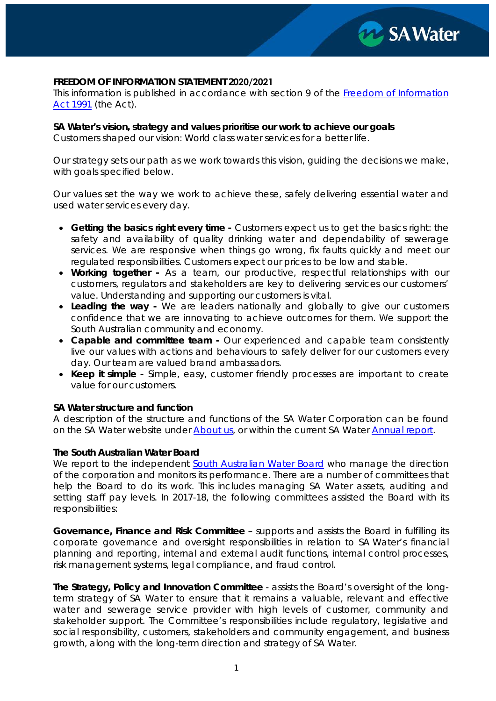

### **FREEDOM OF INFORMATION STATEMENT 2020/2021**

This information is published in accordance with section 9 of the *[Freedom of Information](https://www.legislation.sa.gov.au/LZ/C/A/FREEDOM%20OF%20INFORMATION%20ACT%201991.aspx) [Act 1991](https://www.legislation.sa.gov.au/LZ/C/A/FREEDOM%20OF%20INFORMATION%20ACT%201991.aspx)* (the Act).

**SA Water's vision, strategy and values prioritise our work to achieve our goals**

Customers shaped our vision: World class water services for a better life.

Our strategy sets our path as we work towards this vision, guiding the decisions we make, with goals specified below.

Our values set the way we work to achieve these, safely delivering essential water and used water services every day.

- **Getting the basics right every time** Customers expect us to get the basics right: the safety and availability of quality drinking water and dependability of sewerage services. We are responsive when things go wrong, fix faults quickly and meet our regulated responsibilities. Customers expect our prices to be low and stable.
- **Working together** As a team, our productive, respectful relationships with our customers, regulators and stakeholders are key to delivering services our customers' value. Understanding and supporting our customers is vital.
- **Leading the way** We are leaders nationally and globally to give our customers confidence that we are innovating to achieve outcomes for them. We support the South Australian community and economy.
- **Capable and committee team** Our experienced and capable team consistently live our values with actions and behaviours to safely deliver for our customers every day. Our team are valued brand ambassadors.
- **Keep it simple** Simple, easy, customer friendly processes are important to create value for our customers.

### **SA Water structure and function**

A description of the structure and functions of the SA Water Corporation can be found on the SA Water website under [About us,](https://www.sawater.com.au/about-us/how-we-operate/about-sa-water) or within the current SA Water [Annual report.](https://www.sawater.com.au/about-us/our-vision-and-strategy/annual-report)

#### **The South Australian Water Board**

We report to the independent [South Australian Water Board](https://www.sawater.com.au/about-us/how-we-operate/our-governance) who manage the direction of the corporation and monitors its performance. There are a number of committees that help the Board to do its work. This includes managing SA Water assets, auditing and setting staff pay levels. In 2017-18, the following committees assisted the Board with its responsibilities:

**Governance, Finance and Risk Committee** – supports and assists the Board in fulfilling its corporate governance and oversight responsibilities in relation to SA Water's financial planning and reporting, internal and external audit functions, internal control processes, risk management systems, legal compliance, and fraud control.

**The Strategy, Policy and Innovation Committee** - assists the Board's oversight of the longterm strategy of SA Water to ensure that it remains a valuable, relevant and effective water and sewerage service provider with high levels of customer, community and stakeholder support. The Committee's responsibilities include regulatory, legislative and social responsibility, customers, stakeholders and community engagement, and business growth, along with the long-term direction and strategy of SA Water.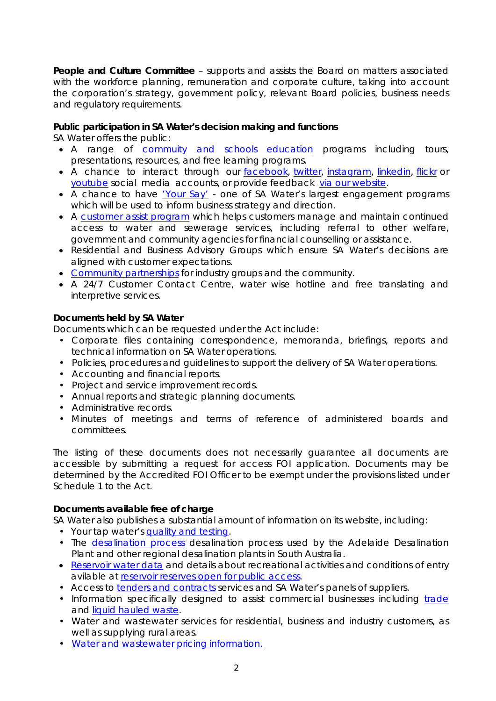**People and Culture Committee** – supports and assists the Board on matters associated with the workforce planning, remuneration and corporate culture, taking into account the corporation's strategy, government policy, relevant Board policies, business needs and regulatory requirements.

# **Public participation in SA Water's decision making and functions**

SA Water offers the public:

- A range of **[commuity and schools education](https://www.sawater.com.au/education-and-community/education/the-well)** programs including tours, presentations, resources, and free learning programs.
- A chance to interact through our [facebook,](https://www.facebook.com/sawatercorp/) [twitter,](https://twitter.com/SAWaterCorp) [instagram,](https://www.instagram.com/sawatercorp/) [linkedin,](https://au.linkedin.com/company/sa-water) [flickr](https://www.flickr.com/photos/sawater/) or [youtube](https://www.youtube.com/user/SAWaterCorp) social media accounts, or provide feedback [via our website.](https://www.sawater.com.au/about-us/contact-us)
- A chance to have *'Your Say'* one of SA Water's largest engagement programs which will be used to inform business strategy and direction.
- A [customer assist program](https://www.sawater.com.au/__data/assets/pdf_file/0009/17388/SA-Water-Customer-Assist-Brochure.pdf) which helps customers manage and maintain continued access to water and sewerage services, including referral to other welfare, government and community agencies for financial counselling or assistance.
- Residential and Business Advisory Groups which ensure SA Water's decisions are aligned with customer expectations.
- [Community partnerships](https://www.sawater.com.au/education-and-community/community-events-and-partnerships/community-partnerships) for industry groups and the community.
- A 24/7 Customer Contact Centre, water wise hotline and free translating and interpretive services.

# **Documents held by SA Water**

Documents which can be requested under the Act include:

- Corporate files containing correspondence, memoranda, briefings, reports and technical information on SA Water operations.
- Policies, procedures and guidelines to support the delivery of SA Water operations.
- Accounting and financial reports.
- Project and service improvement records.
- Annual reports and strategic planning documents.
- Administrative records.
- Minutes of meetings and terms of reference of administered boards and committees.

The listing of these documents does not necessarily guarantee all documents are accessible by submitting a request for access FOI application. Documents may be determined by the Accredited FOI Officer to be exempt under the provisions listed under Schedule 1 to the Act.

## **Documents available free of charge**

SA Water also publishes a substantial amount of information on its website, including:

- Your tap water's [quality](https://www.sawater.com.au/water-and-the-environment/safe-and-clean-drinking-water/your-tap-waters-quality-and-testing) and testing.
- The [desalination process](https://www.sawater.com.au/water-and-the-environment/south-australias-water-sources/seawater) desalination process used by the Adelaide Desalination Plant and other regional desalination plants in South Australia.
- Reservoir [water data](https://www.sawater.com.au/community-and-environment/our-water-and-sewerage-systems/water-sources/reservoir-data) and details about recreational activities and conditions of entry avilable at [reservoir reserves open for public access.](https://reservoirs.sa.gov.au/)
- Access to [tenders and contracts](https://www.sawater.com.au/about-us/working-with-us/tenders-and-contracts) services and SA Water's panels of suppliers.
- Information specifically designed to assist commercial businesses including [trade](https://www.sawater.com.au/my-business/trade-waste/trade-waste-management) and [liquid hauled waste.](https://www.sawater.com.au/my-business/trade-waste/liquid-hauled-waste)
- Water and wastewater services for residential, business and industry customers, as well as supplying rural areas.
- [Water and wastewater pricing](https://www.sawater.com.au/my-account/water-and-sewerage-prices/water-prices) information.